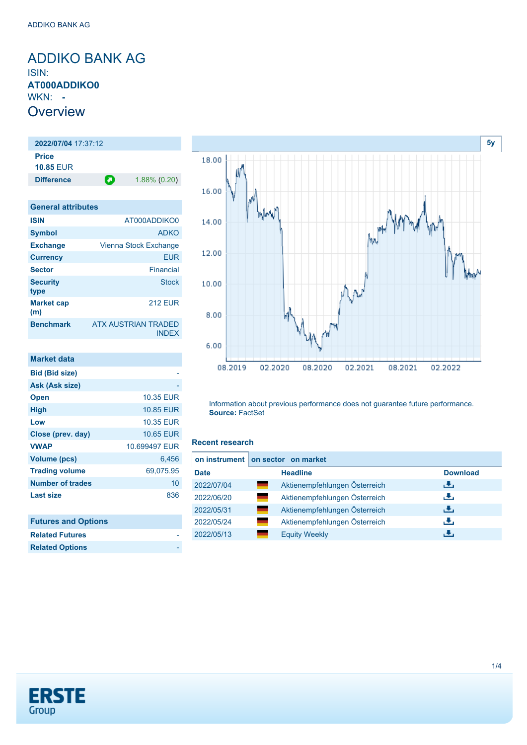### <span id="page-0-0"></span>ADDIKO BANK AG ISIN: **AT000ADDIKO0** WKN: **- Overview**

**2022/07/04** 17:37:12 **Price 10.85** EUR **Difference 1.88% (0.20)** 

| <b>General attributes</b> |                                            |
|---------------------------|--------------------------------------------|
| <b>ISIN</b>               | AT000ADDIKO0                               |
| <b>Symbol</b>             | <b>ADKO</b>                                |
| <b>Exchange</b>           | Vienna Stock Exchange                      |
| <b>Currency</b>           | <b>EUR</b>                                 |
| <b>Sector</b>             | Financial                                  |
| <b>Security</b><br>type   | <b>Stock</b>                               |
| <b>Market cap</b><br>(m)  | <b>212 EUR</b>                             |
| <b>Benchmark</b>          | <b>ATX AUSTRIAN TRADED</b><br><b>INDEX</b> |

| Market data                |               |
|----------------------------|---------------|
| <b>Bid (Bid size)</b>      |               |
| Ask (Ask size)             |               |
| <b>Open</b>                | 10.35 EUR     |
| High                       | 10.85 EUR     |
| Low                        | 10.35 EUR     |
| Close (prev. day)          | 10.65 EUR     |
| <b>VWAP</b>                | 10.699497 EUR |
| <b>Volume (pcs)</b>        | 6,456         |
| <b>Trading volume</b>      | 69,075.95     |
| <b>Number of trades</b>    | 10            |
| <b>Last size</b>           | 836           |
|                            |               |
| <b>Futures and Options</b> |               |
| <b>Related Futures</b>     |               |
| <b>Related Options</b>     |               |



Information about previous performance does not guarantee future performance. **Source:** FactSet

### **Recent research**

|             | on instrument on sector on market |                 |
|-------------|-----------------------------------|-----------------|
| <b>Date</b> | <b>Headline</b>                   | <b>Download</b> |
| 2022/07/04  | Aktienempfehlungen Österreich     | ريان            |
| 2022/06/20  | Aktienempfehlungen Österreich     | æ,              |
| 2022/05/31  | Aktienempfehlungen Österreich     | رنان            |
| 2022/05/24  | Aktienempfehlungen Österreich     | æ,              |
| 2022/05/13  | <b>Equity Weekly</b>              | æ,              |

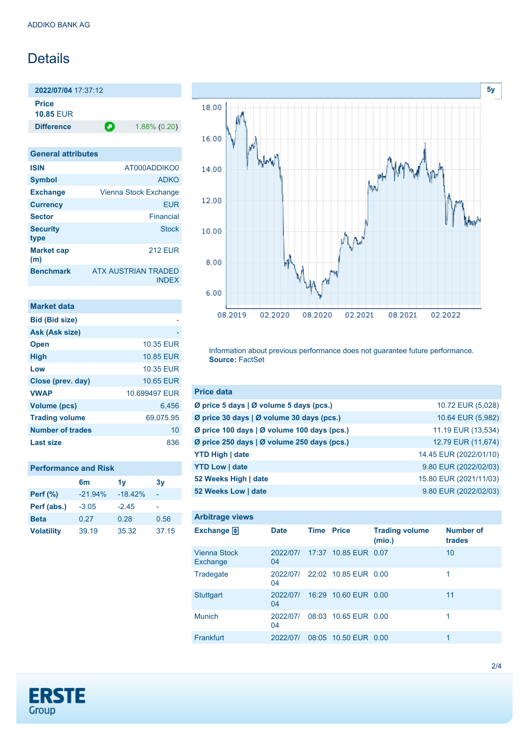## **Details**

**2022/07/04** 17:37:12 **Price 10.85** EUR

**Difference 1.88% (0.20)** 

| <b>General attributes</b> |                                     |
|---------------------------|-------------------------------------|
| <b>ISIN</b>               | AT000ADDIKO0                        |
| <b>Symbol</b>             | <b>ADKO</b>                         |
| <b>Exchange</b>           | Vienna Stock Exchange               |
| <b>Currency</b>           | <b>EUR</b>                          |
| <b>Sector</b>             | Financial                           |
| <b>Security</b><br>type   | <b>Stock</b>                        |
| <b>Market cap</b><br>(m)  | <b>212 FUR</b>                      |
| <b>Benchmark</b>          | <b>ATX AUSTRIAN TRADED</b><br>INDFX |

| <b>Market data</b>      |                  |
|-------------------------|------------------|
| <b>Bid (Bid size)</b>   |                  |
| Ask (Ask size)          |                  |
| <b>Open</b>             | <b>10.35 EUR</b> |
| <b>High</b>             | 10.85 EUR        |
| Low                     | <b>10.35 EUR</b> |
| Close (prev. day)       | <b>10.65 EUR</b> |
| <b>VWAP</b>             | 10.699497 EUR    |
| Volume (pcs)            | 6.456            |
| <b>Trading volume</b>   | 69,075.95        |
| <b>Number of trades</b> | 10               |
| Last size               | 836              |

| <b>Performance and Risk</b> |           |           |       |  |
|-----------------------------|-----------|-----------|-------|--|
|                             | 6m        | 1v        | 3v    |  |
| <b>Perf</b> (%)             | $-21.94%$ | $-18.42%$ |       |  |
| Perf (abs.)                 | $-3.05$   | $-245$    |       |  |
| <b>Beta</b>                 | 0.27      | 0.28      | 0.56  |  |
| <b>Volatility</b>           | 39.19     | 35.32     | 37.15 |  |



Information about previous performance does not guarantee future performance. **Source:** FactSet

| <b>Price data</b>                             |                        |
|-----------------------------------------------|------------------------|
| Ø price 5 days $\vert$ Ø volume 5 days (pcs.) | 10.72 EUR (5,028)      |
| Ø price 30 days   Ø volume 30 days (pcs.)     | 10.64 EUR (5,982)      |
| Ø price 100 days   Ø volume 100 days (pcs.)   | 11.19 EUR (13,534)     |
| Ø price 250 days   Ø volume 250 days (pcs.)   | 12.79 EUR (11,674)     |
| <b>YTD High   date</b>                        | 14.45 EUR (2022/01/10) |
| <b>YTD Low   date</b>                         | 9.80 EUR (2022/02/03)  |
| 52 Weeks High   date                          | 15.80 EUR (2021/11/03) |
| 52 Weeks Low   date                           | 9.80 EUR (2022/02/03)  |

| <b>Arbitrage views</b>          |                |                   |                      |                                 |                            |
|---------------------------------|----------------|-------------------|----------------------|---------------------------------|----------------------------|
| Exchange $\bigoplus$            | <b>Date</b>    | <b>Time Price</b> |                      | <b>Trading volume</b><br>(mio.) | <b>Number of</b><br>trades |
| <b>Vienna Stock</b><br>Exchange | 2022/07/<br>04 |                   | 17:37 10.85 EUR 0.07 |                                 | 10                         |
| Tradegate                       | 2022/07/<br>04 |                   | 22:02 10.85 EUR 0.00 |                                 | 1                          |
| <b>Stuttgart</b>                | 2022/07/<br>04 |                   | 16:29 10.60 EUR 0.00 |                                 | 11                         |
| <b>Munich</b>                   | 2022/07/<br>04 |                   | 08:03 10.65 EUR 0.00 |                                 | 1                          |
| <b>Frankfurt</b>                | 2022/07/       |                   | 08:05 10.50 EUR 0.00 |                                 | 1                          |

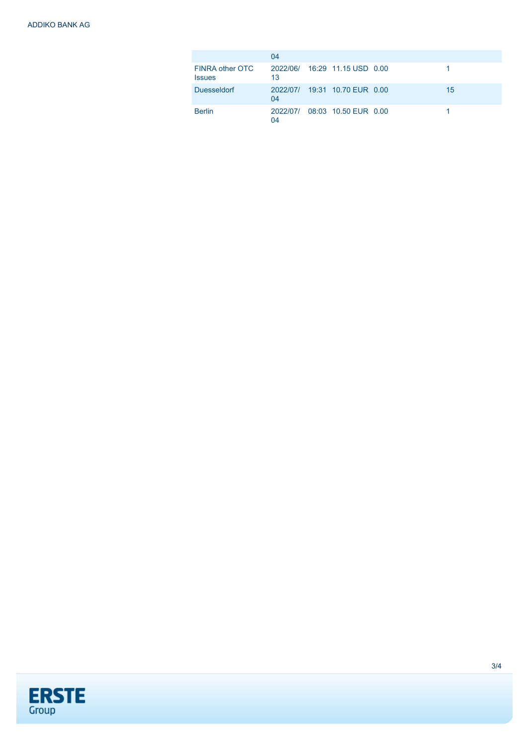|                                         | 04 |                               |    |
|-----------------------------------------|----|-------------------------------|----|
| <b>FINRA other OTC</b><br><b>Issues</b> | 13 | 2022/06/ 16:29 11.15 USD 0.00 |    |
| <b>Duesseldorf</b>                      | 04 | 2022/07/ 19:31 10.70 EUR 0.00 | 15 |
| <b>Berlin</b>                           | 04 | 2022/07/ 08:03 10.50 EUR 0.00 |    |